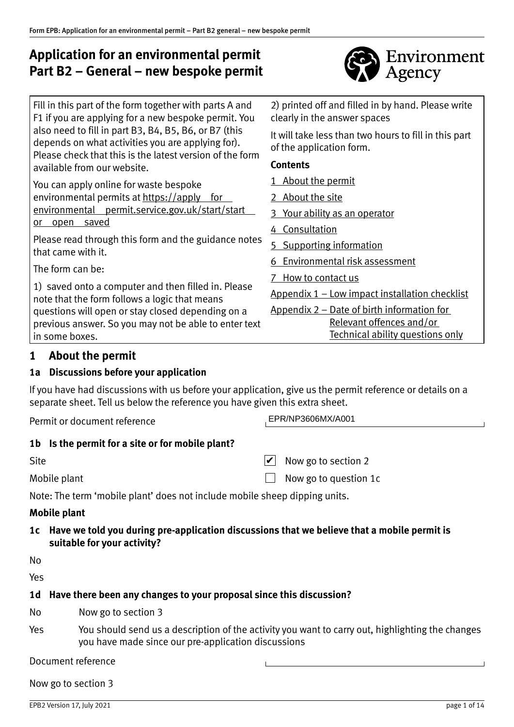# **Application for an environmental permit Part B2 – General – new bespoke permit**



| Fill in this part of the form together with parts A and<br>F1 if you are applying for a new bespoke permit. You | 2) printed off and filled in by hand. Please write<br>clearly in the answer spaces |
|-----------------------------------------------------------------------------------------------------------------|------------------------------------------------------------------------------------|
| also need to fill in part B3, B4, B5, B6, or B7 (this<br>depends on what activities you are applying for).      | It will take less than two hours to fill in this part<br>of the application form.  |
| Please check that this is the latest version of the form<br>available from our website.                         | <b>Contents</b>                                                                    |
| You can apply online for waste bespoke                                                                          | 1 About the permit                                                                 |
| environmental permits at https://apply<br><u>for</u>                                                            | 2 About the site                                                                   |
| environmental permit.service.gov.uk/start/start                                                                 | <u>Your ability as an operator</u><br>3                                            |
| saved<br><u>or open</u>                                                                                         | 4 Consultation                                                                     |
| Please read through this form and the guidance notes<br>that came with it.                                      | <b>Supporting information</b><br>5.                                                |
|                                                                                                                 | Environmental risk assessment                                                      |
| The form can be:                                                                                                | How to contact us                                                                  |
| 1) saved onto a computer and then filled in. Please<br>note that the form follows a logic that means            | <u> Appendix 1 – Low impact installation checklist</u>                             |
| questions will open or stay closed depending on a                                                               | <u>Appendix 2 – Date of birth information for</u>                                  |
| previous answer. So you may not be able to enter text                                                           | Relevant offences and/or                                                           |
| in some boxes.                                                                                                  | Technical ability questions only                                                   |

## **1 About the permit**

## **1a Discussions before your application**

If you have had discussions with us before your application, give us the permit reference or details on a separate sheet. Tell us below the reference you have given this extra sheet.

Permit or document reference

EPR/NP3606MX/A001

## **1b Is the permit for a site or for mobile plant?**

| Site         | $\vee$ Now go to section 2   |
|--------------|------------------------------|
| Mobile plant | $\Box$ Now go to question 1c |

Note: The term 'mobile plant' does not include mobile sheep dipping units.

## **Mobile plant**

**1c Have we told you during pre‐application discussions that we believe that a mobile permit is suitable for your activity?**

No

Yes

## **1d Have there been any changes to your proposal since this discussion?**

- No Now go to section 3
- Yes You should send us a description of the activity you want to carry out, highlighting the changes you have made since our pre‐application discussions

Document reference

Now go to section 3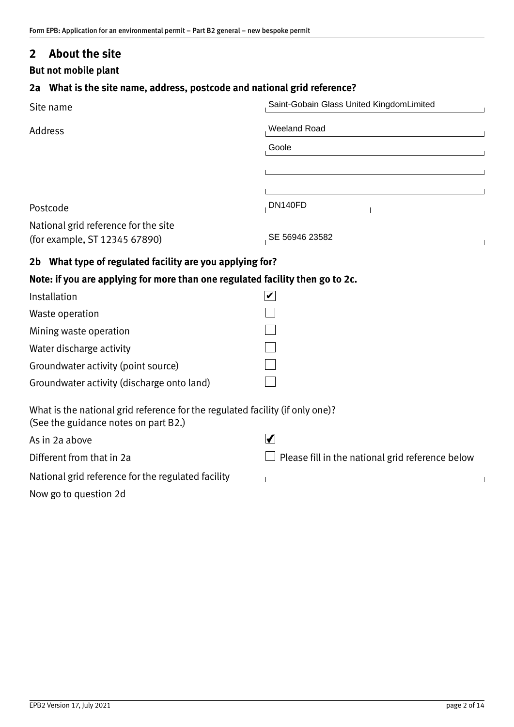## <span id="page-1-0"></span>**2 About the site**

**But not mobile plant**

## **2a What is the site name, address, postcode and national grid reference?**

| Site name                                                                                                             | Saint-Gobain Glass United KingdomLimited         |  |  |
|-----------------------------------------------------------------------------------------------------------------------|--------------------------------------------------|--|--|
| <b>Address</b>                                                                                                        | <b>Weeland Road</b>                              |  |  |
|                                                                                                                       | Goole                                            |  |  |
|                                                                                                                       |                                                  |  |  |
|                                                                                                                       |                                                  |  |  |
| Postcode                                                                                                              | DN140FD                                          |  |  |
| National grid reference for the site<br>(for example, ST 12345 67890)                                                 | SE 56946 23582                                   |  |  |
| 2b What type of regulated facility are you applying for?                                                              |                                                  |  |  |
| Note: if you are applying for more than one regulated facility then go to 2c.                                         |                                                  |  |  |
| Installation                                                                                                          |                                                  |  |  |
| Waste operation                                                                                                       |                                                  |  |  |
| Mining waste operation                                                                                                |                                                  |  |  |
| Water discharge activity                                                                                              |                                                  |  |  |
| Groundwater activity (point source)                                                                                   |                                                  |  |  |
| Groundwater activity (discharge onto land)                                                                            |                                                  |  |  |
| What is the national grid reference for the regulated facility (if only one)?<br>(See the guidance notes on part B2.) |                                                  |  |  |
| As in 2a above                                                                                                        | $\blacktriangledown$                             |  |  |
| Different from that in 2a                                                                                             | Please fill in the national grid reference below |  |  |
| National grid reference for the regulated facility                                                                    |                                                  |  |  |
| Now go to question 2d                                                                                                 |                                                  |  |  |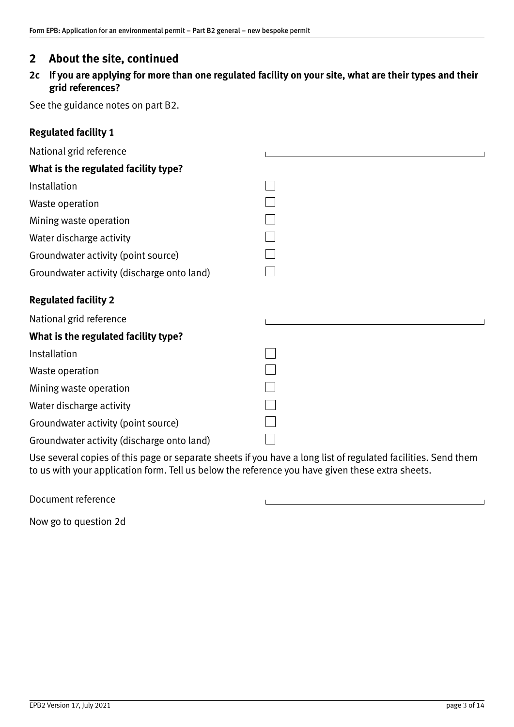## **2 About the site, continued**

**2c If you are applying for more than one regulated facility on your site, what are their types and their grid references?**

See the guidance notes on part B2.

| <b>Regulated facility 1</b> |  |
|-----------------------------|--|
|-----------------------------|--|

| National grid reference                    |  |
|--------------------------------------------|--|
| What is the regulated facility type?       |  |
| Installation                               |  |
| Waste operation                            |  |
| Mining waste operation                     |  |
| Water discharge activity                   |  |
| Groundwater activity (point source)        |  |
| Groundwater activity (discharge onto land) |  |
| <b>Regulated facility 2</b>                |  |
| National grid reference                    |  |
| What is the regulated facility type?       |  |
| Installation                               |  |
| Waste operation                            |  |
| Mining waste operation                     |  |
| Water discharge activity                   |  |
| Groundwater activity (point source)        |  |
| Groundwater activity (discharge onto land) |  |

Use several copies of this page or separate sheets if you have a long list of regulated facilities. Send them to us with your application form. Tell us below the reference you have given these extra sheets.

Document reference

Now go to question 2d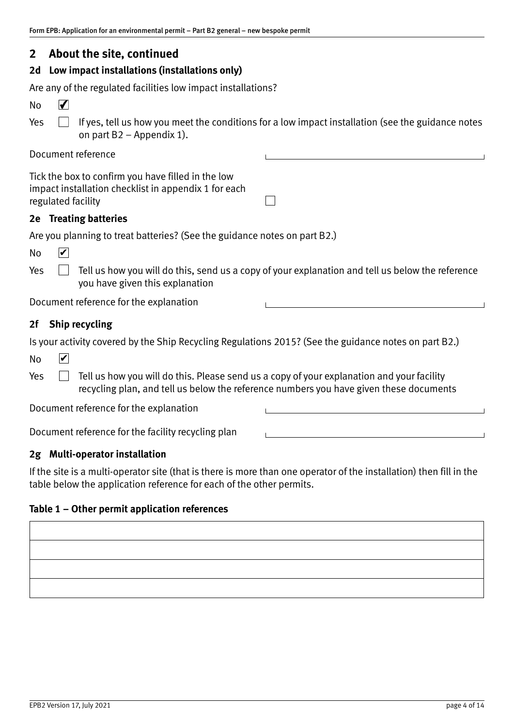## **2 About the site, continued**

## **2d Low impact installations (installations only)**

Are any of the regulated facilities low impact installations?

| No | $\blacksquare$ |                                                                                                              |
|----|----------------|--------------------------------------------------------------------------------------------------------------|
|    |                | Yes $\Box$ If yes, tell us how you meet the conditions for a low impact installation (see the guidance notes |
|    |                | on part $B2 -$ Appendix 1).                                                                                  |

### Document reference

| Tick the box to confirm you have filled in the low   |
|------------------------------------------------------|
| impact installation checklist in appendix 1 for each |
| regulated facility                                   |

#### **2e Treating batteries**

|  |  | Are you planning to treat batteries? (See the guidance notes on part B2.) |  |  |
|--|--|---------------------------------------------------------------------------|--|--|
|  |  |                                                                           |  |  |

Yes  $\Box$  Tell us how you will do this, send us a copy of your explanation and tell us below the reference you have given this explanation

 $\perp$ 

Document reference for the explanation

### **2f Ship recycling**

Is your activity covered by the Ship Recycling Regulations 2015? (See the guidance notes on part B2.)

| <b>No</b> | V |                                                                                                                                                                                     |  |
|-----------|---|-------------------------------------------------------------------------------------------------------------------------------------------------------------------------------------|--|
| Yes       |   | Tell us how you will do this. Please send us a copy of your explanation and your facility<br>recycling plan, and tell us below the reference numbers you have given these documents |  |
|           |   | Document reference for the explanation                                                                                                                                              |  |
|           |   |                                                                                                                                                                                     |  |

Document reference for the facility recycling plan

### **2g Multi‐operator installation**

If the site is a multi-operator site (that is there is more than one operator of the installation) then fill in the table below the application reference for each of the other permits.

#### **Table 1 – Other permit application references**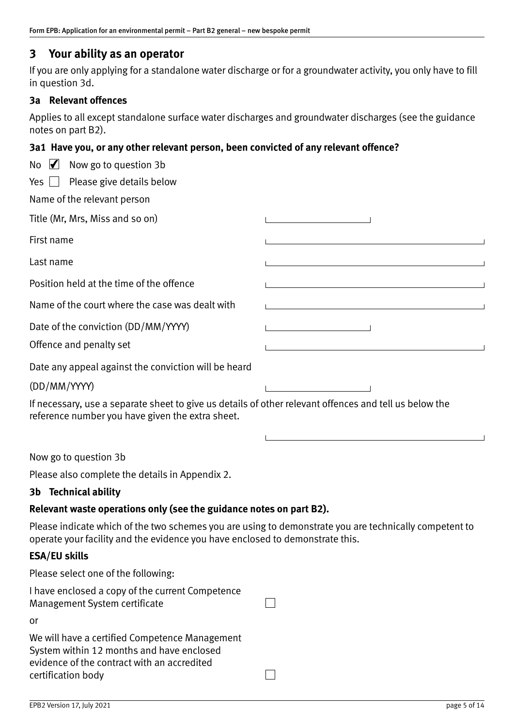## <span id="page-4-0"></span>**3 Your ability as an operator**

If you are only applying for a standalone water discharge or for a groundwater activity, you only have to fill in question 3d.

#### **3a Relevant offences**

Applies to all except standalone surface water discharges and groundwater discharges (see the guidance notes on part B2).

#### **3a1 Have you, or any other relevant person, been convicted of any relevant offence?**

| No $\sqrt{ }$ Now go to question 3b                                                                                                                        |  |
|------------------------------------------------------------------------------------------------------------------------------------------------------------|--|
| Yes $\Box$ Please give details below                                                                                                                       |  |
| Name of the relevant person                                                                                                                                |  |
| Title (Mr, Mrs, Miss and so on)                                                                                                                            |  |
| First name                                                                                                                                                 |  |
| Last name                                                                                                                                                  |  |
| Position held at the time of the offence                                                                                                                   |  |
| Name of the court where the case was dealt with                                                                                                            |  |
| Date of the conviction (DD/MM/YYYY)                                                                                                                        |  |
| Offence and penalty set                                                                                                                                    |  |
| Date any appeal against the conviction will be heard                                                                                                       |  |
| (DD/MM/YYYY)                                                                                                                                               |  |
| If necessary, use a separate sheet to give us details of other relevant offences and tell us below the<br>reference number you have given the extra sheet. |  |

Now go to question 3b

Please also complete the details in Appendix 2.

## **3b Technical ability**

## **Relevant waste operations only (see the guidance notes on part B2).**

Please indicate which of the two schemes you are using to demonstrate you are technically competent to operate your facility and the evidence you have enclosed to demonstrate this.

#### **ESA/EU skills**

Please select one of the following:

| I have enclosed a copy of the current Competence<br>Management System certificate                                                          |  |
|--------------------------------------------------------------------------------------------------------------------------------------------|--|
| or                                                                                                                                         |  |
| We will have a certified Competence Management<br>System within 12 months and have enclosed<br>evidence of the contract with an accredited |  |
| certification body                                                                                                                         |  |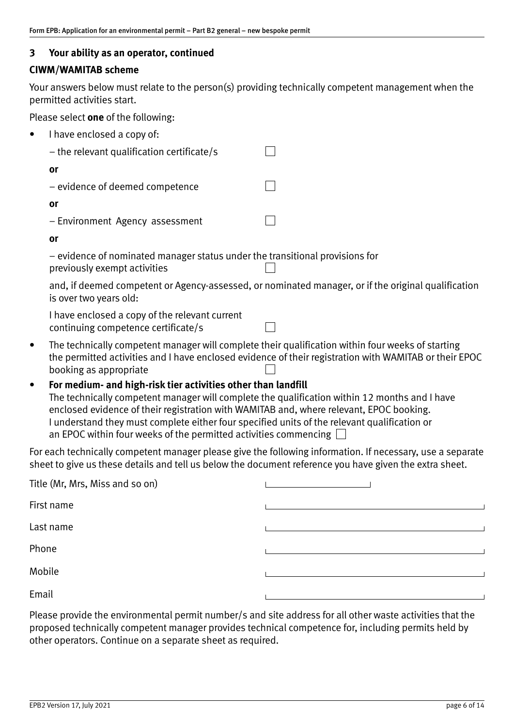## **3 Your ability as an operator, continued**

## **CIWM/WAMITAB scheme**

Your answers below must relate to the person(s) providing technically competent management when the permitted activities start.

Please select **one** of the following:

| $\bullet$ | I have enclosed a copy of:                                                                                                  |                                                                                                        |
|-----------|-----------------------------------------------------------------------------------------------------------------------------|--------------------------------------------------------------------------------------------------------|
|           | $-$ the relevant qualification certificate/s                                                                                |                                                                                                        |
|           | <b>or</b>                                                                                                                   |                                                                                                        |
|           | - evidence of deemed competence                                                                                             |                                                                                                        |
|           | or                                                                                                                          |                                                                                                        |
|           | - Environment Agency assessment                                                                                             |                                                                                                        |
|           | or                                                                                                                          |                                                                                                        |
|           | - evidence of nominated manager status under the transitional provisions for<br>previously exempt activities                |                                                                                                        |
|           | is over two years old:                                                                                                      | and, if deemed competent or Agency-assessed, or nominated manager, or if the original qualification    |
|           | I have enclosed a copy of the relevant current<br>continuing competence certificate/s                                       |                                                                                                        |
| $\bullet$ | The technically competent manager will complete their qualification within four weeks of starting<br>booking as appropriate | the permitted activities and I have enclosed evidence of their registration with WAMITAB or their EPOC |
| $\bullet$ | For medium- and high-risk tier activities other than landfill                                                               |                                                                                                        |

The technically competent manager will complete the qualification within 12 months and I have enclosed evidence of their registration with WAMITAB and, where relevant, EPOC booking. I understand they must complete either four specified units of the relevant qualification or an EPOC within four weeks of the permitted activities commencing  $\square$ 

For each technically competent manager please give the following information. If necessary, use a separate sheet to give us these details and tell us below the document reference you have given the extra sheet.

| Title (Mr, Mrs, Miss and so on) |  |  |  |
|---------------------------------|--|--|--|
| First name                      |  |  |  |
| Last name                       |  |  |  |
| Phone                           |  |  |  |
| Mobile                          |  |  |  |
| Email                           |  |  |  |

Please provide the environmental permit number/s and site address for all other waste activities that the proposed technically competent manager provides technical competence for, including permits held by other operators. Continue on a separate sheet as required.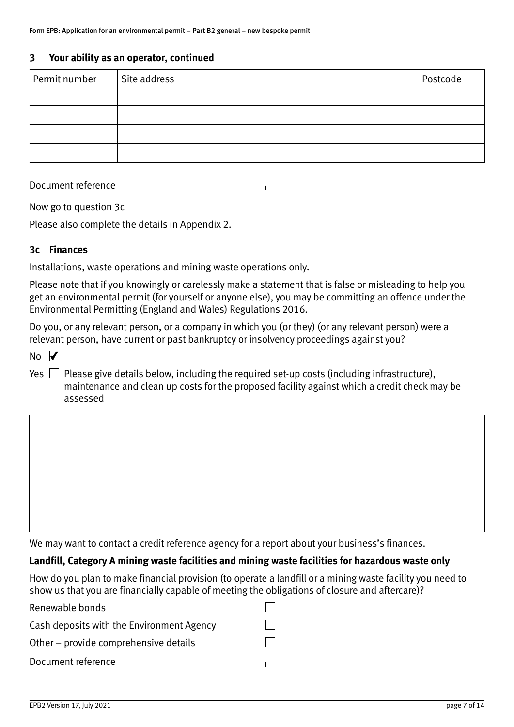#### **3 Your ability as an operator, continued**

| Permit number | Site address | Postcode |
|---------------|--------------|----------|
|               |              |          |
|               |              |          |
|               |              |          |
|               |              |          |

Document reference

Now go to question 3c

Please also complete the details in Appendix 2.

#### **3c Finances**

Installations, waste operations and mining waste operations only.

Please note that if you knowingly or carelessly make a statement that is false or misleading to help you get an environmental permit (for yourself or anyone else), you may be committing an offence under the Environmental Permitting (England and Wales) Regulations 2016.

Do you, or any relevant person, or a company in which you (or they) (or any relevant person) were a relevant person, have current or past bankruptcy or insolvency proceedings against you?

 $N<sub>0</sub>$ 

Yes  $\Box$  Please give details below, including the required set-up costs (including infrastructure), maintenance and clean up costs for the proposed facility against which a credit check may be assessed

We may want to contact a credit reference agency for a report about your business's finances.

#### **Landfill, Category A mining waste facilities and mining waste facilities for hazardous waste only**

How do you plan to make financial provision (to operate a landfill or a mining waste facility you need to show us that you are financially capable of meeting the obligations of closure and aftercare)?

| Renewable bonds                           |  |
|-------------------------------------------|--|
| Cash deposits with the Environment Agency |  |
| Other – provide comprehensive details     |  |
| Document reference                        |  |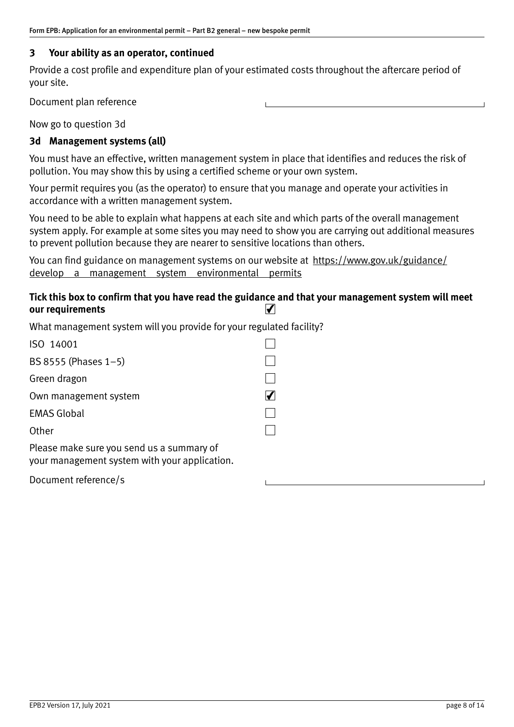### **3 Your ability as an operator, continued**

Provide a cost profile and expenditure plan of your estimated costs throughout the aftercare period of your site.

Document plan reference

Now go to question 3d

### **3d Management systems (all)**

You must have an effective, written management system in place that identifies and reduces the risk of pollution. You may show this by using a certified scheme or your own system.

Your permit requires you (as the operator) to ensure that you manage and operate your activities in accordance with a written management system.

You need to be able to explain what happens at each site and which parts of the overall management system apply. For example at some sites you may need to show you are carrying out additional measures to prevent pollution because they are nearer to sensitive locations than others.

You can find guidance on management systems on our website at [https://www.gov.uk/guidance/](https://www.gov.uk/guidance/develop-a-management-system-environmental-permits) [develop-a-management-system-environmental-permits](https://www.gov.uk/guidance/develop-a-management-system-environmental-permits)

#### **Tick this box to confirm that you have read the guidance and that your management system will meet our requirements**  $\blacktriangledown$

What management system will you provide for your regulated facility?

| ISO 14001                                                                                  |  |
|--------------------------------------------------------------------------------------------|--|
| BS 8555 (Phases $1-5$ )                                                                    |  |
| Green dragon                                                                               |  |
| Own management system                                                                      |  |
| <b>EMAS Global</b>                                                                         |  |
| Other                                                                                      |  |
| Please make sure you send us a summary of<br>your management system with your application. |  |
|                                                                                            |  |

Document reference/s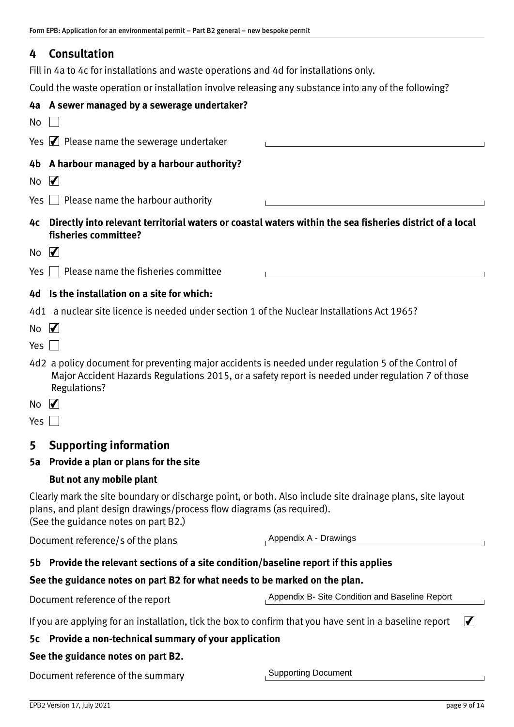# <span id="page-8-0"></span>**4 Consultation**

Fill in 4a to 4c for installations and waste operations and 4d for installations only.

Could the waste operation or installation involve releasing any substance into any of the following?

|                                                                                                                                                                                                                            | 4a A sewer managed by a sewerage undertaker?                                                                                                                                                                                    |                                                |  |  |  |
|----------------------------------------------------------------------------------------------------------------------------------------------------------------------------------------------------------------------------|---------------------------------------------------------------------------------------------------------------------------------------------------------------------------------------------------------------------------------|------------------------------------------------|--|--|--|
| No                                                                                                                                                                                                                         |                                                                                                                                                                                                                                 |                                                |  |  |  |
|                                                                                                                                                                                                                            | Yes $\blacktriangleright$ Please name the sewerage undertaker                                                                                                                                                                   |                                                |  |  |  |
|                                                                                                                                                                                                                            | 4b A harbour managed by a harbour authority?                                                                                                                                                                                    |                                                |  |  |  |
| No                                                                                                                                                                                                                         | $\blacktriangledown$                                                                                                                                                                                                            |                                                |  |  |  |
| Yes                                                                                                                                                                                                                        | $\Box$ Please name the harbour authority                                                                                                                                                                                        |                                                |  |  |  |
| 4c                                                                                                                                                                                                                         | Directly into relevant territorial waters or coastal waters within the sea fisheries district of a local<br>fisheries committee?                                                                                                |                                                |  |  |  |
| No                                                                                                                                                                                                                         | $\sqrt{}$                                                                                                                                                                                                                       |                                                |  |  |  |
| Yes $\vert \ \vert$                                                                                                                                                                                                        | Please name the fisheries committee                                                                                                                                                                                             |                                                |  |  |  |
|                                                                                                                                                                                                                            | 4d Is the installation on a site for which:                                                                                                                                                                                     |                                                |  |  |  |
|                                                                                                                                                                                                                            | 4d1 a nuclear site licence is needed under section 1 of the Nuclear Installations Act 1965?                                                                                                                                     |                                                |  |  |  |
| No                                                                                                                                                                                                                         | $\blacktriangledown$                                                                                                                                                                                                            |                                                |  |  |  |
| Yes                                                                                                                                                                                                                        |                                                                                                                                                                                                                                 |                                                |  |  |  |
|                                                                                                                                                                                                                            | 4d2 a policy document for preventing major accidents is needed under regulation 5 of the Control of<br>Major Accident Hazards Regulations 2015, or a safety report is needed under regulation 7 of those<br><b>Regulations?</b> |                                                |  |  |  |
| No.                                                                                                                                                                                                                        | $\blacktriangledown$                                                                                                                                                                                                            |                                                |  |  |  |
| Yes $\Box$                                                                                                                                                                                                                 |                                                                                                                                                                                                                                 |                                                |  |  |  |
| 5                                                                                                                                                                                                                          | <b>Supporting information</b>                                                                                                                                                                                                   |                                                |  |  |  |
| 5а                                                                                                                                                                                                                         | Provide a plan or plans for the site                                                                                                                                                                                            |                                                |  |  |  |
|                                                                                                                                                                                                                            | But not any mobile plant                                                                                                                                                                                                        |                                                |  |  |  |
| Clearly mark the site boundary or discharge point, or both. Also include site drainage plans, site layout<br>plans, and plant design drawings/process flow diagrams (as required).<br>(See the guidance notes on part B2.) |                                                                                                                                                                                                                                 |                                                |  |  |  |
|                                                                                                                                                                                                                            | Appendix A - Drawings<br>Document reference/s of the plans                                                                                                                                                                      |                                                |  |  |  |
| Provide the relevant sections of a site condition/baseline report if this applies<br>5b                                                                                                                                    |                                                                                                                                                                                                                                 |                                                |  |  |  |
|                                                                                                                                                                                                                            | See the guidance notes on part B2 for what needs to be marked on the plan.                                                                                                                                                      |                                                |  |  |  |
|                                                                                                                                                                                                                            | Document reference of the report                                                                                                                                                                                                | Appendix B- Site Condition and Baseline Report |  |  |  |
|                                                                                                                                                                                                                            | If you are applying for an installation, tick the box to confirm that you have sent in a baseline report                                                                                                                        | $\blacktriangledown$                           |  |  |  |
| 5с                                                                                                                                                                                                                         | Provide a non-technical summary of your application                                                                                                                                                                             |                                                |  |  |  |
|                                                                                                                                                                                                                            | See the guidance notes on part B2.                                                                                                                                                                                              |                                                |  |  |  |
|                                                                                                                                                                                                                            | Document reference of the summary                                                                                                                                                                                               | <b>Supporting Document</b>                     |  |  |  |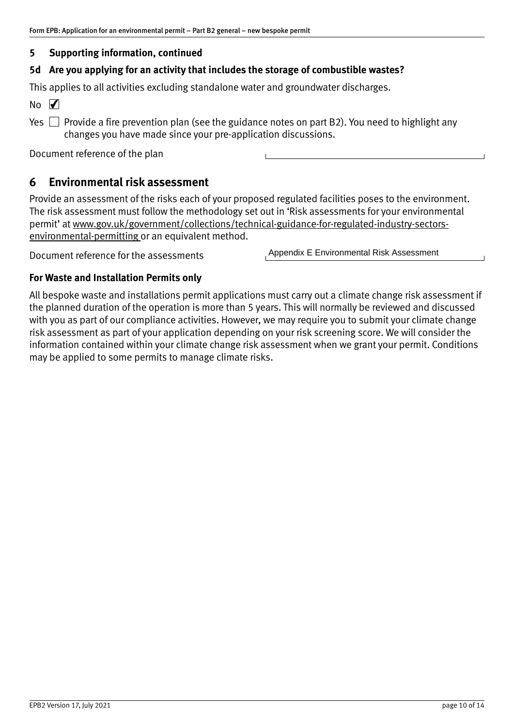## <span id="page-9-0"></span>**5 Supporting information, continued**

### **5d Are you applying for an activity that includes the storage of combustible wastes?**

This applies to all activities excluding standalone water and groundwater discharges.

 $No$   $\overline{V}$ 

Yes  $\Box$  Provide a fire prevention plan (see the guidance notes on part B2). You need to highlight any changes you have made since your pre‐application discussions.

Document reference of the plan

## **6 Environmental risk assessment**

Provide an assessment of the risks each of your proposed regulated facilities poses to the environment. The risk assessment must follow the methodology set out in 'Risk assessments for your environmental permit' at www.gov.uk/government/collections/technical-guidance-for-regulated-industry-sectors[environmental‐permitting](https://www.gov.uk/government/collections/technical-guidance-for-regulated-industry-sectors-environmental-permitting) or an equivalent method.

Document reference for the assessments

Appendix E Environmental Risk Assessment

### **For Waste and Installation Permits only**

All bespoke waste and installations permit applications must carry out a climate change risk assessment if the planned duration of the operation is more than 5 years. This will normally be reviewed and discussed with you as part of our compliance activities. However, we may require you to submit your climate change risk assessment as part of your application depending on your risk screening score. We will consider the information contained within your climate change risk assessment when we grant your permit. Conditions may be applied to some permits to manage climate risks.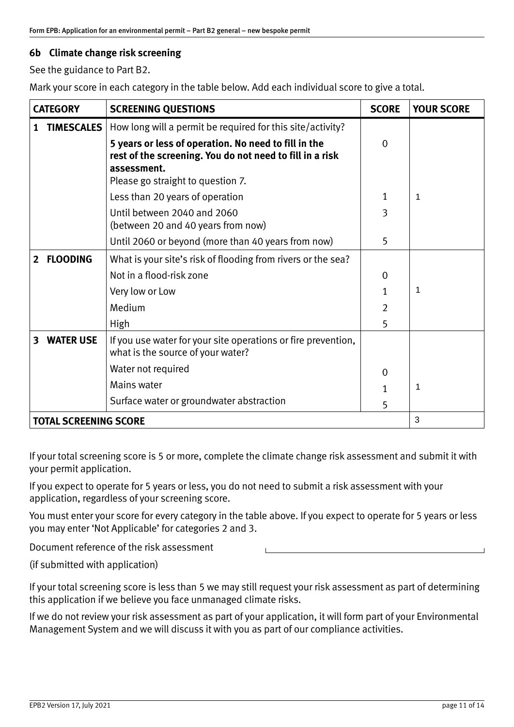### **6b Climate change risk screening**

See the guidance to Part B2.

Mark your score in each category in the table below. Add each individual score to give a total.

| <b>CATEGORY</b>              |                   | <b>SCREENING QUESTIONS</b>                                                                                                      | <b>SCORE</b>   | <b>YOUR SCORE</b> |
|------------------------------|-------------------|---------------------------------------------------------------------------------------------------------------------------------|----------------|-------------------|
|                              | <b>TIMESCALES</b> | How long will a permit be required for this site/activity?                                                                      |                |                   |
|                              |                   | 5 years or less of operation. No need to fill in the<br>rest of the screening. You do not need to fill in a risk<br>assessment. | $\mathbf 0$    |                   |
|                              |                   | Please go straight to question 7.                                                                                               |                |                   |
|                              |                   | Less than 20 years of operation                                                                                                 | 1              | 1                 |
|                              |                   | Until between 2040 and 2060<br>(between 20 and 40 years from now)                                                               | 3              |                   |
|                              |                   | Until 2060 or beyond (more than 40 years from now)                                                                              | 5              |                   |
| $\overline{2}$               | <b>FLOODING</b>   | What is your site's risk of flooding from rivers or the sea?                                                                    |                |                   |
|                              |                   | Not in a flood-risk zone                                                                                                        | $\mathbf 0$    |                   |
|                              |                   | Very low or Low                                                                                                                 | 1              | 1                 |
|                              |                   | Medium                                                                                                                          | $\overline{2}$ |                   |
|                              |                   | <b>High</b>                                                                                                                     | 5              |                   |
| 3                            | <b>WATER USE</b>  | If you use water for your site operations or fire prevention,<br>what is the source of your water?                              |                |                   |
|                              |                   | Water not required                                                                                                              | $\mathbf 0$    |                   |
|                              |                   | Mains water                                                                                                                     | 1              | 1                 |
|                              |                   | Surface water or groundwater abstraction                                                                                        | 5              |                   |
| <b>TOTAL SCREENING SCORE</b> |                   |                                                                                                                                 | 3              |                   |

If your total screening score is 5 or more, complete the climate change risk assessment and submit it with your permit application.

If you expect to operate for 5 years or less, you do not need to submit a risk assessment with your application, regardless of your screening score.

You must enter your score for every category in the table above. If you expect to operate for 5 years or less you may enter 'Not Applicable' for categories 2 and 3.

Document reference of the risk assessment

(if submitted with application)

If your total screening score is less than 5 we may still request your risk assessment as part of determining this application if we believe you face unmanaged climate risks.

If we do not review your risk assessment as part of your application, it will form part of your Environmental Management System and we will discuss it with you as part of our compliance activities.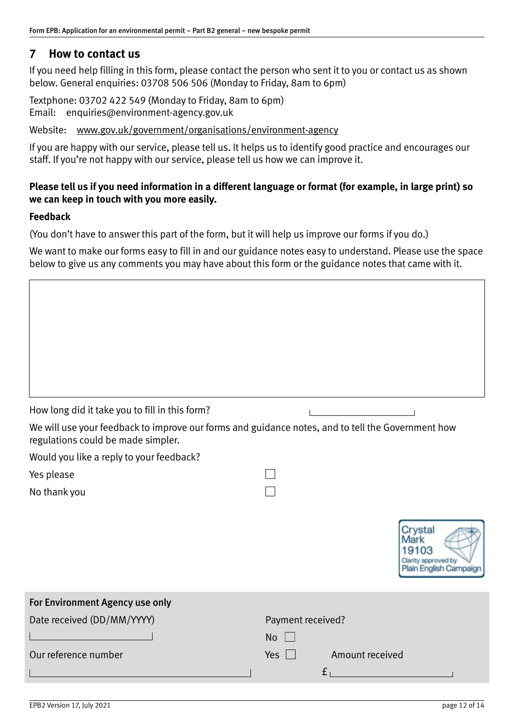## <span id="page-11-0"></span>**7 How to contact us**

If you need help filling in this form, please contact the person who sent it to you or contact us as shown below. General enquiries: 03708 506 506 (Monday to Friday, 8am to 6pm)

Textphone: 03702 422 549 (Monday to Friday, 8am to 6pm) Email: [enquiries@environment‐agency.gov.uk](mailto:enquiries@environment-agency.gov.uk)

Website: [www.gov.uk/government/organisations/environment‐agency](http://www.gov.uk/government/organisations/environment‐agency)

If you are happy with our service, please tell us. It helps us to identify good practice and encourages our staff. If you're not happy with our service, please tell us how we can improve it.

### **Please tell us if you need information in a different language or format (for example, in large print) so we can keep in touch with you more easily.**

### **Feedback**

(You don't have to answer this part of the form, but it will help us improve our forms if you do.)

We want to make our forms easy to fill in and our guidance notes easy to understand. Please use the space below to give us any comments you may have about this form or the guidance notes that came with it.

| How long did it take you to fill in this form?                                                                                          |                                                              |
|-----------------------------------------------------------------------------------------------------------------------------------------|--------------------------------------------------------------|
| We will use your feedback to improve our forms and guidance notes, and to tell the Government how<br>regulations could be made simpler. |                                                              |
| Would you like a reply to your feedback?                                                                                                |                                                              |
| Yes please                                                                                                                              |                                                              |
| No thank you                                                                                                                            |                                                              |
|                                                                                                                                         |                                                              |
|                                                                                                                                         | Crystal<br>03<br>irity approved by<br>Plain English Campaign |
| For Environment Agency use only                                                                                                         |                                                              |
| Date received (DD/MM/YYYY)                                                                                                              | Payment received?                                            |
|                                                                                                                                         | <b>No</b>                                                    |
| Our reference number                                                                                                                    | Amount received<br>Yes $\Box$                                |
|                                                                                                                                         | f <sub>1</sub>                                               |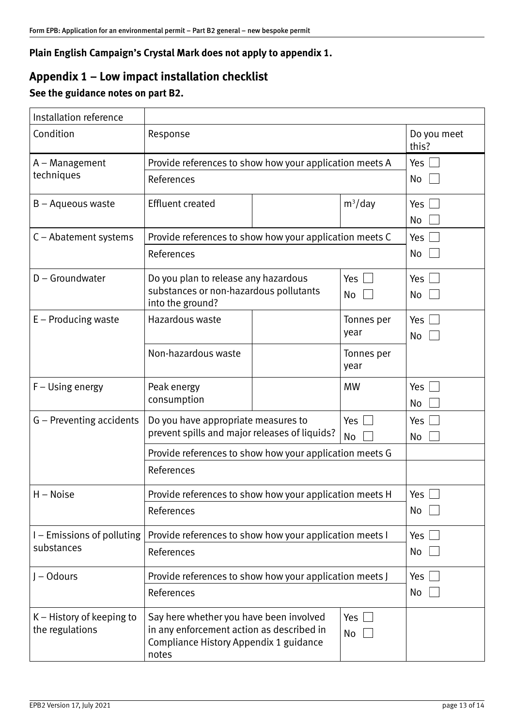## <span id="page-12-0"></span>**Plain English Campaign's Crystal Mark does not apply to appendix 1.**

# **Appendix 1 – Low impact installation checklist**

# **See the guidance notes on part B2.**

| Installation reference                                                                |                                                                                                                                                      |  |                      |             |
|---------------------------------------------------------------------------------------|------------------------------------------------------------------------------------------------------------------------------------------------------|--|----------------------|-------------|
| Condition                                                                             | Response                                                                                                                                             |  | Do you meet<br>this? |             |
| A – Management                                                                        | Provide references to show how your application meets A                                                                                              |  |                      | Yes         |
| techniques                                                                            | References                                                                                                                                           |  |                      | No          |
| B - Aqueous waste                                                                     | <b>Effluent created</b>                                                                                                                              |  | $m^3$ /day           | Yes<br>No   |
| C - Abatement systems                                                                 | Provide references to show how your application meets C                                                                                              |  |                      | Yes         |
|                                                                                       | References                                                                                                                                           |  |                      | No          |
| D - Groundwater                                                                       | Do you plan to release any hazardous<br>substances or non-hazardous pollutants<br>into the ground?                                                   |  | Yes<br>No            | Yes<br>No   |
| $E$ – Producing waste                                                                 | Hazardous waste                                                                                                                                      |  | Tonnes per<br>year   | Yes<br>No   |
|                                                                                       | Non-hazardous waste                                                                                                                                  |  | Tonnes per<br>year   |             |
| F – Using energy                                                                      | Peak energy<br>consumption                                                                                                                           |  | <b>MW</b>            | Yes<br>No   |
| G - Preventing accidents                                                              | Do you have appropriate measures to<br>Yes<br>prevent spills and major releases of liquids?<br>No                                                    |  |                      | Yes<br>No   |
|                                                                                       | Provide references to show how your application meets G                                                                                              |  |                      |             |
|                                                                                       | References                                                                                                                                           |  |                      |             |
| H – Noise                                                                             | Provide references to show how your application meets H                                                                                              |  |                      | Yes $\vert$ |
|                                                                                       | References                                                                                                                                           |  |                      | No          |
| Provide references to show how your application meets I<br>I – Emissions of polluting |                                                                                                                                                      |  | Yes                  |             |
| substances                                                                            | References                                                                                                                                           |  |                      | No          |
| J – Odours<br>Provide references to show how your application meets J<br>References   |                                                                                                                                                      |  | Yes                  |             |
|                                                                                       |                                                                                                                                                      |  |                      | No          |
| K - History of keeping to<br>the regulations                                          | Say here whether you have been involved<br>Yes<br>in any enforcement action as described in<br>No<br>Compliance History Appendix 1 guidance<br>notes |  |                      |             |